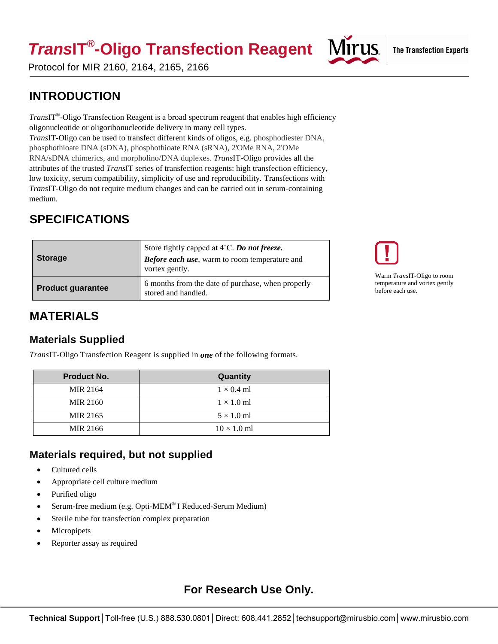# *Trans***IT® -Oligo Transfection Reagent**



Protocol for MIR 2160, 2164, 2165, 2166

## **INTRODUCTION**

*Trans*IT® -Oligo Transfection Reagent is a broad spectrum reagent that enables high efficiency oligonucleotide or oligoribonucleotide delivery in many cell types. *Trans*IT-Oligo can be used to transfect different kinds of oligos, e.g. phosphodiester DNA, phosphothioate DNA (sDNA), phosphothioate RNA (sRNA), 2'OMe RNA, 2'OMe RNA/sDNA chimerics, and morpholino/DNA duplexes. *Trans*IT-Oligo provides all the attributes of the trusted *Trans*IT series of transfection reagents: high transfection efficiency, low toxicity, serum compatibility, simplicity of use and reproducibility. Transfections with *Trans*IT-Oligo do not require medium changes and can be carried out in serum-containing medium.

# **SPECIFICATIONS**

| <b>Storage</b>           | Store tightly capped at $4^{\circ}$ C. Do not freeze.<br>Before each use, warm to room temperature and<br>vortex gently. |
|--------------------------|--------------------------------------------------------------------------------------------------------------------------|
| <b>Product guarantee</b> | 6 months from the date of purchase, when properly<br>stored and handled.                                                 |



```
Warm TransIT-Oligo to room 
temperature and vortex gently 
before each use.
```
## **MATERIALS**

### **Materials Supplied**

*Trans*IT-Oligo Transfection Reagent is supplied in *one* of the following formats.

| <b>Product No.</b> | Quantity           |
|--------------------|--------------------|
| MIR 2164           | $1 \times 0.4$ ml  |
| <b>MIR 2160</b>    | $1 \times 1.0$ ml  |
| MIR 2165           | $5 \times 1.0$ ml  |
| MIR 2166           | $10 \times 1.0$ ml |

## **Materials required, but not supplied**

- Cultured cells
- Appropriate cell culture medium
- Purified oligo
- Serum-free medium (e.g. Opti-MEM® I Reduced-Serum Medium)
- Sterile tube for transfection complex preparation
- Micropipets
- Reporter assay as required

## **For Research Use Only.**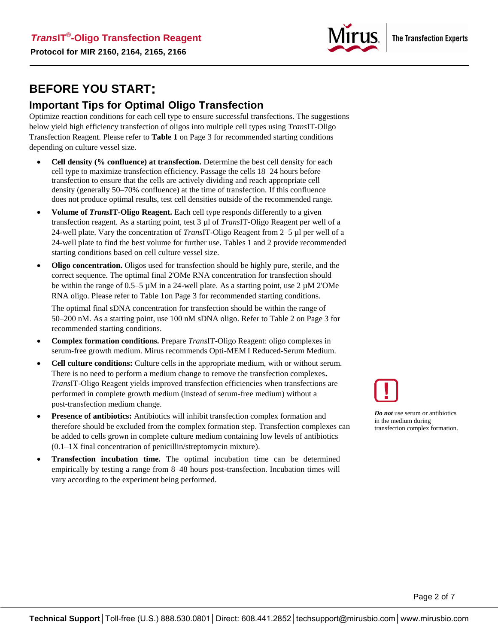

## **BEFORE YOU START:**

#### **Important Tips for Optimal Oligo Transfection**

Optimize reaction conditions for each cell type to ensure successful transfections. The suggestions below yield high efficiency transfection of oligos into multiple cell types using *Trans*IT-Oligo Transfection Reagent. Please refer to **Table 1** on Page 3 for recommended starting conditions depending on culture vessel size.

- **Cell density (% confluence) at transfection.** Determine the best cell density for each cell type to maximize transfection efficiency. Passage the cells 18–24 hours before transfection to ensure that the cells are actively dividing and reach appropriate cell density (generally 50–70% confluence) at the time of transfection. If this confluence does not produce optimal results, test cell densities outside of the recommended range.
- **Volume of** *Trans***IT-Oligo Reagent.** Each cell type responds differently to a given transfection reagent. As a starting point, test 3 µl of *Trans*IT-Oligo Reagent per well of a 24-well plate. Vary the concentration of *Trans*IT-Oligo Reagent from 2–5 µl per well of a 24-well plate to find the best volume for further use. Tables 1 and 2 provide recommended starting conditions based on cell culture vessel size.
- **Oligo concentration.** Oligos used for transfection should be highl**y** pure, sterile, and the correct sequence. The optimal final 2'OMe RNA concentration for transfection should be within the range of 0.5–5 µM in a 24-well plate. As a starting point, use 2 µM 2'OMe RNA oligo. Please refer to Table 1on Page 3 for recommended starting conditions.

The optimal final sDNA concentration for transfection should be within the range of 50–200 nM. As a starting point, use 100 nM sDNA oligo. Refer to Table 2 on Page 3 for recommended starting conditions.

- **Complex formation conditions.** Prepare *Trans*IT-Oligo Reagent: oligo complexes in serum-free growth medium. Mirus recommends Opti-MEM I Reduced-Serum Medium.
- **Cell culture conditions:** Culture cells in the appropriate medium, with or without serum. There is no need to perform a medium change to remove the transfection complexes**.** *Trans*IT-Oligo Reagent yields improved transfection efficiencies when transfections are performed in complete growth medium (instead of serum-free medium) without a post-transfection medium change.
- **Presence of antibiotics:** Antibiotics will inhibit transfection complex formation and therefore should be excluded from the complex formation step. Transfection complexes can be added to cells grown in complete culture medium containing low levels of antibiotics (0.1–1X final concentration of penicillin/streptomycin mixture).
- **Transfection incubation time.** The optimal incubation time can be determined empirically by testing a range from 8–48 hours post-transfection. Incubation times will vary according to the experiment being performed.



*Do not* use serum or antibiotics in the medium during transfection complex formation.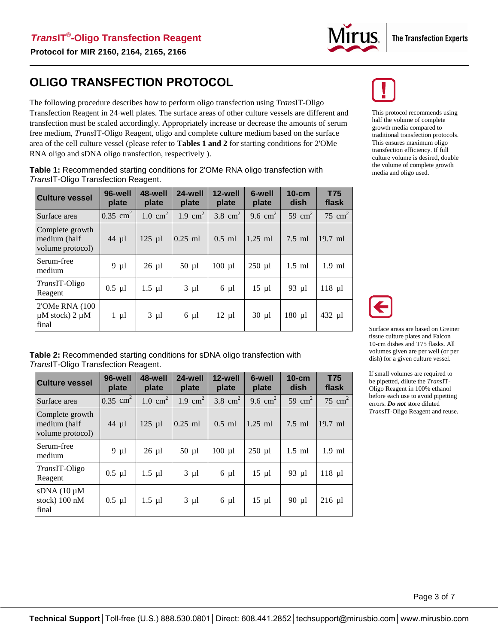

## **OLIGO TRANSFECTION PROTOCOL**

The following procedure describes how to perform oligo transfection using *Trans*IT-Oligo Transfection Reagent in 24-well plates. The surface areas of other culture vessels are different and transfection must be scaled accordingly. Appropriately increase or decrease the amounts of serum free medium, *Trans*IT-Oligo Reagent, oligo and complete culture medium based on the surface area of the cell culture vessel (please refer to **Tables 1 and 2** for starting conditions for 2'OMe RNA oligo and sDNA oligo transfection, respectively ).

**Table 1:** Recommended starting conditions for 2'OMe RNA oligo transfection with *Trans*IT-Oligo Transfection Reagent.

| <b>Culture vessel</b>                                | 96-well<br>plate    | 48-well<br>plate   | 24-well<br>plate   | 12-well<br>plate | 6-well<br>plate | $10$ -cm<br>dish   | <b>T75</b><br>flask |
|------------------------------------------------------|---------------------|--------------------|--------------------|------------------|-----------------|--------------------|---------------------|
| Surface area                                         | $0.35 \text{ cm}^2$ | $1.0 \text{ cm}^2$ | $1.9 \text{ cm}^2$ | 3.8 $cm2$        | 9.6 $cm2$       | 59 cm <sup>2</sup> | 75 cm <sup>2</sup>  |
| Complete growth<br>medium (half<br>volume protocol)  | $44 \mu l$          | $125$ µl           | $0.25$ ml          | $0.5$ ml         | $1.25$ ml       | $7.5$ ml           | $19.7$ ml           |
| Serum-free<br>medium                                 | $9 \mu l$           | $26 \mu l$         | $50 \mu l$         | $100$ $\mu$ l    | $250$ µl        | $1.5$ ml           | $1.9$ ml            |
| <i>TransIT-Oligo</i><br>Reagent                      | $0.5$ µl            | $1.5 \mu l$        | $3 \mu l$          | $6 \mu l$        | $15 \mu l$      | 93 µ1              | $118$ µl            |
| 2'OMe RNA (100)<br>$\mu$ M stock) 2 $\mu$ M<br>final | $1 \mu l$           | $3 \mu l$          | $6 \mu l$          | $12 \mu l$       | $30 \mu l$      | $180$ µl           | 432 µl              |



This protocol recommends using half the volume of complete growth media compared to traditional transfection protocols. This ensures maximum oligo transfection efficiency. If full culture volume is desired, double the volume of complete growth media and oligo used.



Surface areas are based on Greiner tissue culture plates and Falcon 10-cm dishes and T75 flasks. All volumes given are per well (or per dish) for a given culture vessel.

If small volumes are required to be pipetted, dilute the *Trans*IT-Oligo Reagent in 100% ethanol before each use to avoid pipetting errors. *Do not* store diluted *Trans*IT-Oligo Reagent and reuse.

**Table 2:** Recommended starting conditions for sDNA oligo transfection with *Trans*IT-Oligo Transfection Reagent.

| <b>Culture vessel</b>                               | 96-well<br>plate    | 48-well<br>plate   | 24-well<br>plate   | 12-well<br>plate | 6-well<br>plate | $10-cm$<br>dish | <b>T75</b><br>flask |
|-----------------------------------------------------|---------------------|--------------------|--------------------|------------------|-----------------|-----------------|---------------------|
| Surface area                                        | $0.35 \text{ cm}^2$ | $1.0 \text{ cm}^2$ | $1.9 \text{ cm}^2$ | 3.8 $cm2$        | 9.6 $cm2$       | 59 $cm2$        | 75 cm <sup>2</sup>  |
| Complete growth<br>medium (half<br>volume protocol) | 44 µl               | $125$ µl           | $0.25$ ml          | $0.5$ ml         | $1.25$ ml       | $7.5$ ml        | 19.7 ml             |
| Serum-free<br>medium                                | $9 \mu l$           | $26 \mu l$         | $50 \mu l$         | $100$ $\mu$ l    | $250$ µl        | $1.5$ ml        | $1.9$ ml            |
| <i>TransIT-Oligo</i><br>Reagent                     | $0.5$ µl            | $1.5 \mu l$        | $3 \mu l$          | $6 \mu l$        | $15 \mu l$      | 93 µl           | $118$ µl            |
| sDNA(10~µM)<br>stock) 100 nM<br>final               | $0.5$ µl            | $1.5 \mu l$        | $3 \mu l$          | $6 \mu l$        | $15 \mu l$      | 90 µl           | $216$ µl            |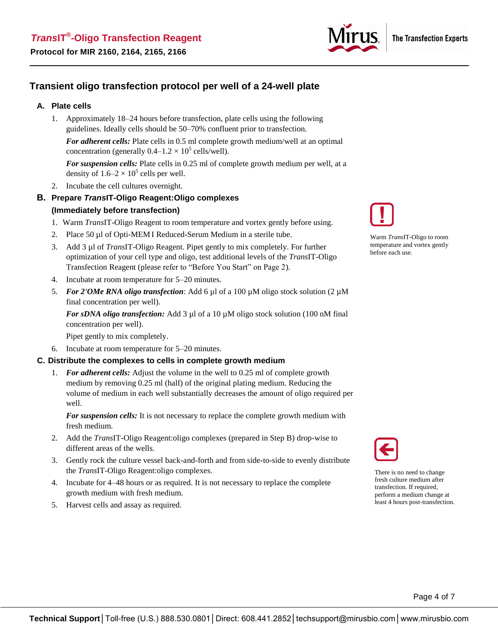

#### **Transient oligo transfection protocol per well of a 24-well plate**

#### **A. Plate cells**

1. Approximately 18–24 hours before transfection, plate cells using the following guidelines. Ideally cells should be 50–70% confluent prior to transfection.

*For adherent cells:* Plate cells in 0.5 ml complete growth medium/well at an optimal concentration (generally  $0.4-1.2 \times 10^5$  cells/well).

*For suspension cells:* Plate cells in 0.25 ml of complete growth medium per well, at a density of  $1.6-2 \times 10^5$  cells per well.

- 2. Incubate the cell cultures overnight.
- **B. Prepare** *Trans***IT-Oligo Reagent:Oligo complexes (Immediately before transfection)** 
	- 1. Warm *Trans*IT-Oligo Reagent to room temperature and vortex gently before using.
	- 2. Place 50 µl of Opti-MEM I Reduced-Serum Medium in a sterile tube.
	- 3. Add 3 µl of *Trans*IT-Oligo Reagent. Pipet gently to mix completely. For further optimization of your cell type and oligo, test additional levels of the *Trans*IT-Oligo Transfection Reagent (please refer to "Before You Start" on Page 2).
	- 4. Incubate at room temperature for 5–20 minutes.
	- 5. *For 2'OMe RNA oligo transfection*: Add 6 µl of a 100 µM oligo stock solution (2 µM final concentration per well).

*For sDNA oligo transfection:* Add 3 µl of a 10 µM oligo stock solution (100 nM final concentration per well).

Pipet gently to mix completely.

6. Incubate at room temperature for 5–20 minutes.

#### **C. Distribute the complexes to cells in complete growth medium**

1. *For adherent cells:* Adjust the volume in the well to 0.25 ml of complete growth medium by removing 0.25 ml (half) of the original plating medium. Reducing the volume of medium in each well substantially decreases the amount of oligo required per well.

*For suspension cells:* It is not necessary to replace the complete growth medium with fresh medium.

- 2. Add the *Trans*IT-Oligo Reagent:oligo complexes (prepared in Step B) drop-wise to different areas of the wells.
- 3. Gently rock the culture vessel back-and-forth and from side-to-side to evenly distribute the *Trans*IT-Oligo Reagent:oligo complexes.
- 4. Incubate for 4–48 hours or as required. It is not necessary to replace the complete growth medium with fresh medium.
- 5. Harvest cells and assay as required.



Warm *Trans*IT-Oligo to room temperature and vortex gently before each use.



There is no need to change fresh culture medium after transfection. If required, perform a medium change at least 4 hours post-transfection.

Page 4 of 7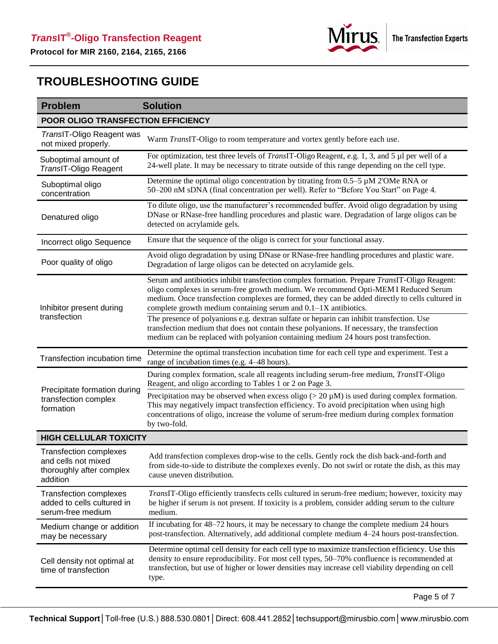

## **TROUBLESHOOTING GUIDE**

| POOR OLIGO TRANSFECTION EFFICIENCY<br>TransIT-Oligo Reagent was<br>Warm TransIT-Oligo to room temperature and vortex gently before each use.<br>not mixed properly.<br>For optimization, test three levels of <i>TransIT</i> -Oligo Reagent, e.g. 1, 3, and 5 µl per well of a<br>Suboptimal amount of<br>24-well plate. It may be necessary to titrate outside of this range depending on the cell type.<br>TransIT-Oligo Reagent<br>Determine the optimal oligo concentration by titrating from 0.5-5 µM 2'OMe RNA or<br>Suboptimal oligo<br>50-200 nM sDNA (final concentration per well). Refer to "Before You Start" on Page 4.<br>concentration<br>To dilute oligo, use the manufacturer's recommended buffer. Avoid oligo degradation by using<br>DNase or RNase-free handling procedures and plastic ware. Degradation of large oligos can be<br>Denatured oligo<br>detected on acrylamide gels.<br>Ensure that the sequence of the oligo is correct for your functional assay.<br>Incorrect oligo Sequence<br>Avoid oligo degradation by using DNase or RNase-free handling procedures and plastic ware.<br>Poor quality of oligo<br>Degradation of large oligos can be detected on acrylamide gels.<br>Serum and antibiotics inhibit transfection complex formation. Prepare TransIT-Oligo Reagent:<br>oligo complexes in serum-free growth medium. We recommend Opti-MEM I Reduced Serum<br>complete growth medium containing serum and 0.1–1X antibiotics.<br>Inhibitor present during<br>transfection<br>The presence of polyanions e.g. dextran sulfate or heparin can inhibit transfection. Use<br>transfection medium that does not contain these polyanions. If necessary, the transfection<br>medium can be replaced with polyanion containing medium 24 hours post transfection.<br>Determine the optimal transfection incubation time for each cell type and experiment. Test a<br>Transfection incubation time<br>range of incubation times (e.g. 4-48 hours).<br>During complex formation, scale all reagents including serum-free medium, <i>TransIT</i> -Oligo<br>Reagent, and oligo according to Tables 1 or 2 on Page 3.<br>Precipitate formation during<br>Precipitation may be observed when excess oligo ( $>$ 20 $\mu$ M) is used during complex formation.<br>transfection complex<br>This may negatively impact transfection efficiency. To avoid precipitation when using high | <b>Problem</b> | <b>Solution</b>                                                                                 |  |  |  |
|-----------------------------------------------------------------------------------------------------------------------------------------------------------------------------------------------------------------------------------------------------------------------------------------------------------------------------------------------------------------------------------------------------------------------------------------------------------------------------------------------------------------------------------------------------------------------------------------------------------------------------------------------------------------------------------------------------------------------------------------------------------------------------------------------------------------------------------------------------------------------------------------------------------------------------------------------------------------------------------------------------------------------------------------------------------------------------------------------------------------------------------------------------------------------------------------------------------------------------------------------------------------------------------------------------------------------------------------------------------------------------------------------------------------------------------------------------------------------------------------------------------------------------------------------------------------------------------------------------------------------------------------------------------------------------------------------------------------------------------------------------------------------------------------------------------------------------------------------------------------------------------------------------------------------------------------------------------------------------------------------------------------------------------------------------------------------------------------------------------------------------------------------------------------------------------------------------------------------------------------------------------------------------------------------------------------------------------------------------------------------------------------------------------------|----------------|-------------------------------------------------------------------------------------------------|--|--|--|
|                                                                                                                                                                                                                                                                                                                                                                                                                                                                                                                                                                                                                                                                                                                                                                                                                                                                                                                                                                                                                                                                                                                                                                                                                                                                                                                                                                                                                                                                                                                                                                                                                                                                                                                                                                                                                                                                                                                                                                                                                                                                                                                                                                                                                                                                                                                                                                                                                 |                |                                                                                                 |  |  |  |
|                                                                                                                                                                                                                                                                                                                                                                                                                                                                                                                                                                                                                                                                                                                                                                                                                                                                                                                                                                                                                                                                                                                                                                                                                                                                                                                                                                                                                                                                                                                                                                                                                                                                                                                                                                                                                                                                                                                                                                                                                                                                                                                                                                                                                                                                                                                                                                                                                 |                |                                                                                                 |  |  |  |
|                                                                                                                                                                                                                                                                                                                                                                                                                                                                                                                                                                                                                                                                                                                                                                                                                                                                                                                                                                                                                                                                                                                                                                                                                                                                                                                                                                                                                                                                                                                                                                                                                                                                                                                                                                                                                                                                                                                                                                                                                                                                                                                                                                                                                                                                                                                                                                                                                 |                |                                                                                                 |  |  |  |
|                                                                                                                                                                                                                                                                                                                                                                                                                                                                                                                                                                                                                                                                                                                                                                                                                                                                                                                                                                                                                                                                                                                                                                                                                                                                                                                                                                                                                                                                                                                                                                                                                                                                                                                                                                                                                                                                                                                                                                                                                                                                                                                                                                                                                                                                                                                                                                                                                 |                |                                                                                                 |  |  |  |
|                                                                                                                                                                                                                                                                                                                                                                                                                                                                                                                                                                                                                                                                                                                                                                                                                                                                                                                                                                                                                                                                                                                                                                                                                                                                                                                                                                                                                                                                                                                                                                                                                                                                                                                                                                                                                                                                                                                                                                                                                                                                                                                                                                                                                                                                                                                                                                                                                 |                |                                                                                                 |  |  |  |
|                                                                                                                                                                                                                                                                                                                                                                                                                                                                                                                                                                                                                                                                                                                                                                                                                                                                                                                                                                                                                                                                                                                                                                                                                                                                                                                                                                                                                                                                                                                                                                                                                                                                                                                                                                                                                                                                                                                                                                                                                                                                                                                                                                                                                                                                                                                                                                                                                 |                |                                                                                                 |  |  |  |
|                                                                                                                                                                                                                                                                                                                                                                                                                                                                                                                                                                                                                                                                                                                                                                                                                                                                                                                                                                                                                                                                                                                                                                                                                                                                                                                                                                                                                                                                                                                                                                                                                                                                                                                                                                                                                                                                                                                                                                                                                                                                                                                                                                                                                                                                                                                                                                                                                 |                |                                                                                                 |  |  |  |
|                                                                                                                                                                                                                                                                                                                                                                                                                                                                                                                                                                                                                                                                                                                                                                                                                                                                                                                                                                                                                                                                                                                                                                                                                                                                                                                                                                                                                                                                                                                                                                                                                                                                                                                                                                                                                                                                                                                                                                                                                                                                                                                                                                                                                                                                                                                                                                                                                 |                | medium. Once transfection complexes are formed, they can be added directly to cells cultured in |  |  |  |
|                                                                                                                                                                                                                                                                                                                                                                                                                                                                                                                                                                                                                                                                                                                                                                                                                                                                                                                                                                                                                                                                                                                                                                                                                                                                                                                                                                                                                                                                                                                                                                                                                                                                                                                                                                                                                                                                                                                                                                                                                                                                                                                                                                                                                                                                                                                                                                                                                 |                |                                                                                                 |  |  |  |
|                                                                                                                                                                                                                                                                                                                                                                                                                                                                                                                                                                                                                                                                                                                                                                                                                                                                                                                                                                                                                                                                                                                                                                                                                                                                                                                                                                                                                                                                                                                                                                                                                                                                                                                                                                                                                                                                                                                                                                                                                                                                                                                                                                                                                                                                                                                                                                                                                 |                |                                                                                                 |  |  |  |
|                                                                                                                                                                                                                                                                                                                                                                                                                                                                                                                                                                                                                                                                                                                                                                                                                                                                                                                                                                                                                                                                                                                                                                                                                                                                                                                                                                                                                                                                                                                                                                                                                                                                                                                                                                                                                                                                                                                                                                                                                                                                                                                                                                                                                                                                                                                                                                                                                 |                |                                                                                                 |  |  |  |
| concentrations of oligo, increase the volume of serum-free medium during complex formation<br>by two-fold.                                                                                                                                                                                                                                                                                                                                                                                                                                                                                                                                                                                                                                                                                                                                                                                                                                                                                                                                                                                                                                                                                                                                                                                                                                                                                                                                                                                                                                                                                                                                                                                                                                                                                                                                                                                                                                                                                                                                                                                                                                                                                                                                                                                                                                                                                                      | formation      |                                                                                                 |  |  |  |
| <b>HIGH CELLULAR TOXICITY</b>                                                                                                                                                                                                                                                                                                                                                                                                                                                                                                                                                                                                                                                                                                                                                                                                                                                                                                                                                                                                                                                                                                                                                                                                                                                                                                                                                                                                                                                                                                                                                                                                                                                                                                                                                                                                                                                                                                                                                                                                                                                                                                                                                                                                                                                                                                                                                                                   |                |                                                                                                 |  |  |  |
| <b>Transfection complexes</b><br>Add transfection complexes drop-wise to the cells. Gently rock the dish back-and-forth and<br>and cells not mixed<br>from side-to-side to distribute the complexes evenly. Do not swirl or rotate the dish, as this may<br>thoroughly after complex<br>cause uneven distribution.<br>addition                                                                                                                                                                                                                                                                                                                                                                                                                                                                                                                                                                                                                                                                                                                                                                                                                                                                                                                                                                                                                                                                                                                                                                                                                                                                                                                                                                                                                                                                                                                                                                                                                                                                                                                                                                                                                                                                                                                                                                                                                                                                                  |                |                                                                                                 |  |  |  |
| <b>Transfection complexes</b><br>added to cells cultured in<br>be higher if serum is not present. If toxicity is a problem, consider adding serum to the culture<br>serum-free medium<br>medium.                                                                                                                                                                                                                                                                                                                                                                                                                                                                                                                                                                                                                                                                                                                                                                                                                                                                                                                                                                                                                                                                                                                                                                                                                                                                                                                                                                                                                                                                                                                                                                                                                                                                                                                                                                                                                                                                                                                                                                                                                                                                                                                                                                                                                |                | TransIT-Oligo efficiently transfects cells cultured in serum-free medium; however, toxicity may |  |  |  |
| If incubating for 48–72 hours, it may be necessary to change the complete medium 24 hours<br>Medium change or addition<br>post-transfection. Alternatively, add additional complete medium 4-24 hours post-transfection.<br>may be necessary                                                                                                                                                                                                                                                                                                                                                                                                                                                                                                                                                                                                                                                                                                                                                                                                                                                                                                                                                                                                                                                                                                                                                                                                                                                                                                                                                                                                                                                                                                                                                                                                                                                                                                                                                                                                                                                                                                                                                                                                                                                                                                                                                                    |                |                                                                                                 |  |  |  |
| Determine optimal cell density for each cell type to maximize transfection efficiency. Use this<br>density to ensure reproducibility. For most cell types, 50–70% confluence is recommended at<br>Cell density not optimal at<br>transfection, but use of higher or lower densities may increase cell viability depending on cell<br>time of transfection<br>type.                                                                                                                                                                                                                                                                                                                                                                                                                                                                                                                                                                                                                                                                                                                                                                                                                                                                                                                                                                                                                                                                                                                                                                                                                                                                                                                                                                                                                                                                                                                                                                                                                                                                                                                                                                                                                                                                                                                                                                                                                                              |                |                                                                                                 |  |  |  |

Page 5 of 7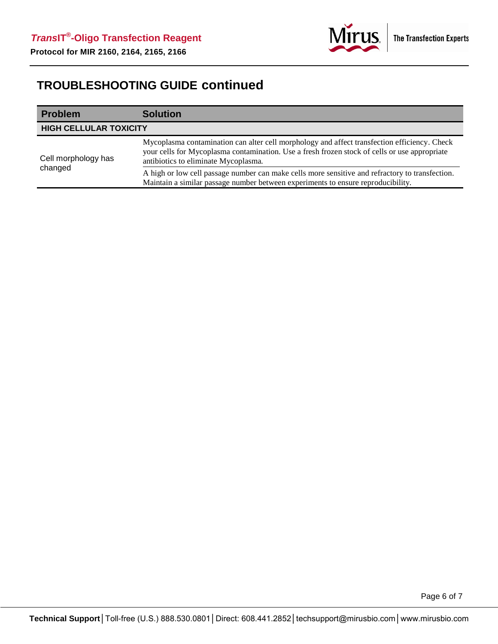

# **TROUBLESHOOTING GUIDE continued**

| <b>Problem</b>                 | <b>Solution</b>                                                                                                                                                                                                                       |
|--------------------------------|---------------------------------------------------------------------------------------------------------------------------------------------------------------------------------------------------------------------------------------|
| <b>HIGH CELLULAR TOXICITY</b>  |                                                                                                                                                                                                                                       |
| Cell morphology has<br>changed | Mycoplasma contamination can alter cell morphology and affect transfection efficiency. Check<br>your cells for Mycoplasma contamination. Use a fresh frozen stock of cells or use appropriate<br>antibiotics to eliminate Mycoplasma. |
|                                | A high or low cell passage number can make cells more sensitive and refractory to transfection.<br>Maintain a similar passage number between experiments to ensure reproducibility.                                                   |

Page 6 of 7